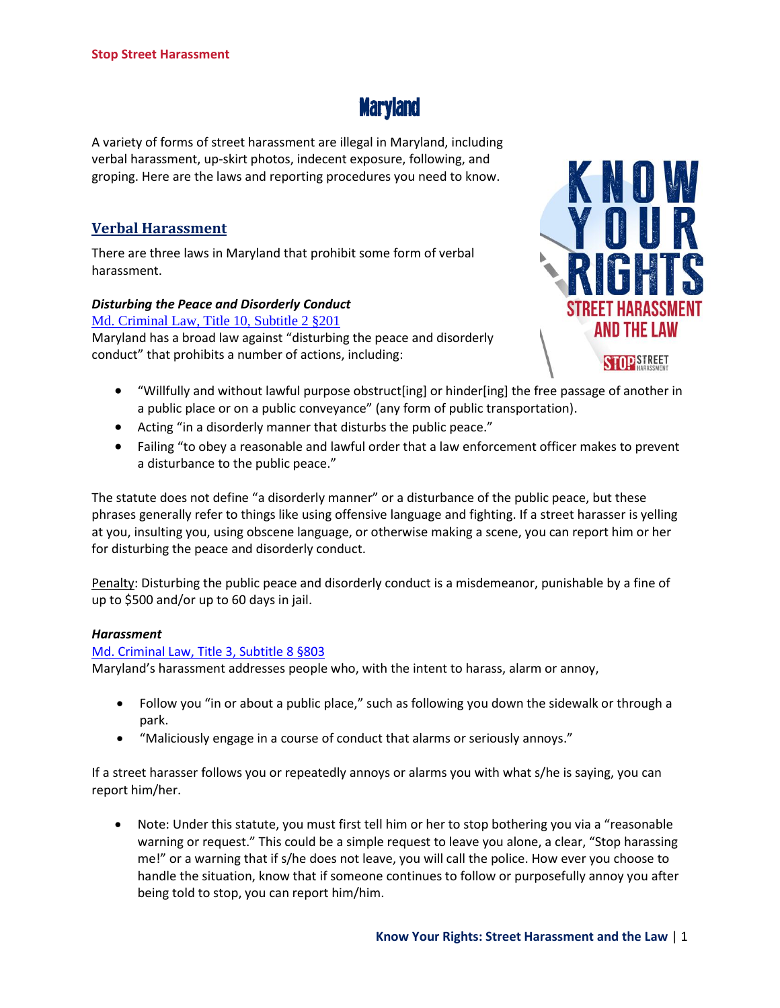

A variety of forms of street harassment are illegal in Maryland, including verbal harassment, up-skirt photos, indecent exposure, following, and groping. Here are the laws and reporting procedures you need to know.

# **Verbal Harassment**

There are three laws in Maryland that prohibit some form of verbal harassment.

## *Disturbing the Peace and Disorderly Conduct*

[Md. Criminal Law, Title 10, Subtitle 2 §201](http://www.lexisnexis.com/hottopics/mdcode/)

Maryland has a broad law against "disturbing the peace and disorderly conduct" that prohibits a number of actions, including:



- "Willfully and without lawful purpose obstruct[ing] or hinder[ing] the free passage of another in a public place or on a public conveyance" (any form of public transportation).
- Acting "in a disorderly manner that disturbs the public peace."
- Failing "to obey a reasonable and lawful order that a law enforcement officer makes to prevent a disturbance to the public peace."

The statute does not define "a disorderly manner" or a disturbance of the public peace, but these phrases generally refer to things like using offensive language and fighting. If a street harasser is yelling at you, insulting you, using obscene language, or otherwise making a scene, you can report him or her for disturbing the peace and disorderly conduct.

Penalty: Disturbing the public peace and disorderly conduct is a misdemeanor, punishable by a fine of up to \$500 and/or up to 60 days in jail.

## *Harassment*

#### [Md. Criminal Law, Title 3, Subtitle 8 §803](http://www.lexisnexis.com/hottopics/mdcode/)

Maryland's harassment addresses people who, with the intent to harass, alarm or annoy,

- Follow you "in or about a public place," such as following you down the sidewalk or through a park.
- "Maliciously engage in a course of conduct that alarms or seriously annoys."

If a street harasser follows you or repeatedly annoys or alarms you with what s/he is saying, you can report him/her.

 Note: Under this statute, you must first tell him or her to stop bothering you via a "reasonable warning or request." This could be a simple request to leave you alone, a clear, "Stop harassing me!" or a warning that if s/he does not leave, you will call the police. How ever you choose to handle the situation, know that if someone continues to follow or purposefully annoy you after being told to stop, you can report him/him.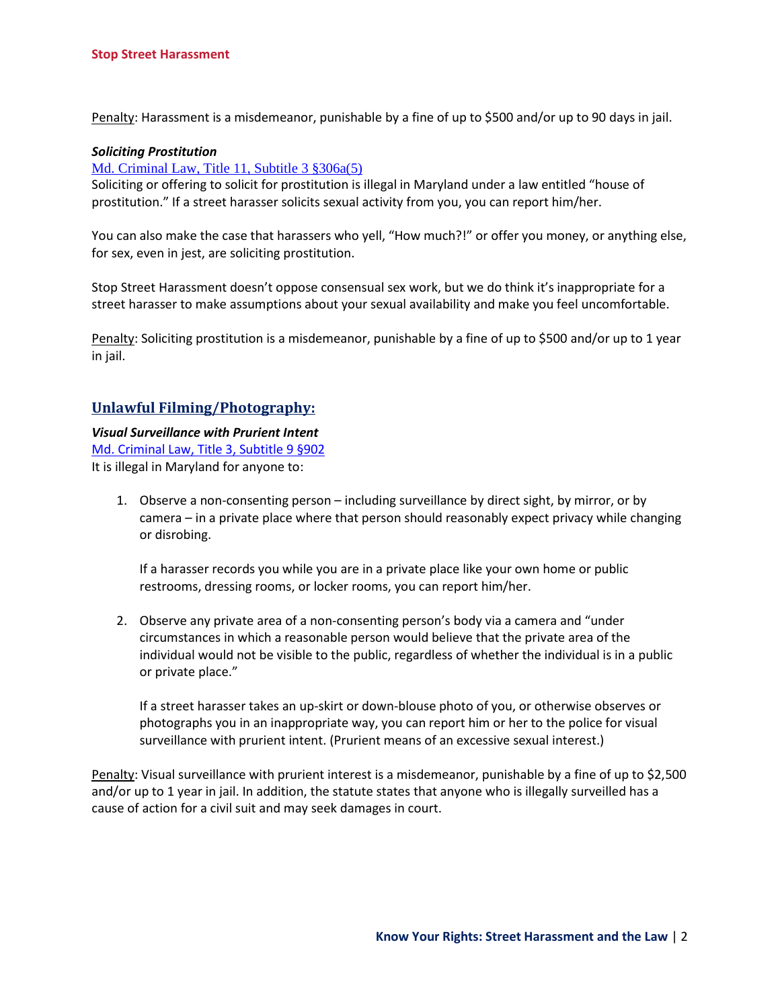Penalty: Harassment is a misdemeanor, punishable by a fine of up to \$500 and/or up to 90 days in jail.

#### *Soliciting Prostitution*

#### [Md. Criminal Law, Title 11, Subtitle 3 §306a\(5\)](http://www.lexisnexis.com/hottopics/mdcode/)

Soliciting or offering to solicit for prostitution is illegal in Maryland under a law entitled "house of prostitution." If a street harasser solicits sexual activity from you, you can report him/her.

You can also make the case that harassers who yell, "How much?!" or offer you money, or anything else, for sex, even in jest, are soliciting prostitution.

Stop Street Harassment doesn't oppose consensual sex work, but we do think it's inappropriate for a street harasser to make assumptions about your sexual availability and make you feel uncomfortable.

Penalty: Soliciting prostitution is a misdemeanor, punishable by a fine of up to \$500 and/or up to 1 year in jail.

## **Unlawful Filming/Photography:**

#### *Visual Surveillance with Prurient Intent*

[Md. Criminal Law, Title 3, Subtitle 9 §902](http://www.lexisnexis.com/hottopics/mdcode/)

It is illegal in Maryland for anyone to:

1. Observe a non-consenting person – including surveillance by direct sight, by mirror, or by camera – in a private place where that person should reasonably expect privacy while changing or disrobing.

If a harasser records you while you are in a private place like your own home or public restrooms, dressing rooms, or locker rooms, you can report him/her.

2. Observe any private area of a non-consenting person's body via a camera and "under circumstances in which a reasonable person would believe that the private area of the individual would not be visible to the public, regardless of whether the individual is in a public or private place."

If a street harasser takes an up-skirt or down-blouse photo of you, or otherwise observes or photographs you in an inappropriate way, you can report him or her to the police for visual surveillance with prurient intent. (Prurient means of an excessive sexual interest.)

Penalty: Visual surveillance with prurient interest is a misdemeanor, punishable by a fine of up to \$2,500 and/or up to 1 year in jail. In addition, the statute states that anyone who is illegally surveilled has a cause of action for a civil suit and may seek damages in court.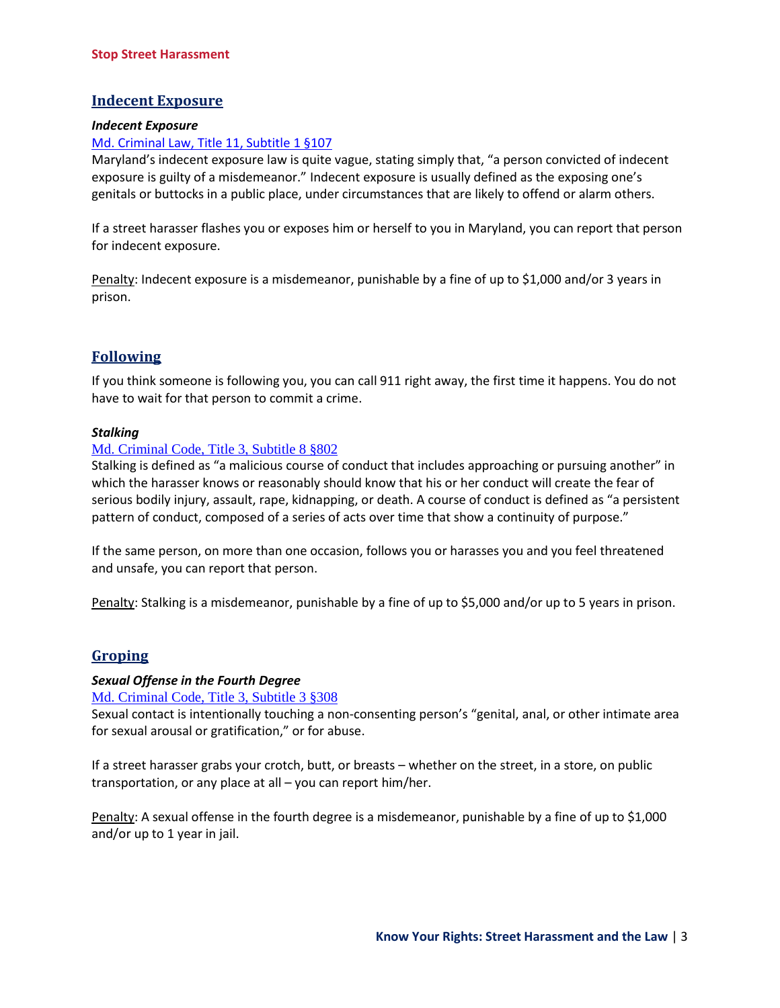# **Indecent Exposure**

#### *Indecent Exposure*

## [Md. Criminal Law, Title 11, Subtitle 1 §107](http://www.lexisnexis.com/hottopics/mdcode/)

Maryland's indecent exposure law is quite vague, stating simply that, "a person convicted of indecent exposure is guilty of a misdemeanor." Indecent exposure is usually defined as the exposing one's genitals or buttocks in a public place, under circumstances that are likely to offend or alarm others.

If a street harasser flashes you or exposes him or herself to you in Maryland, you can report that person for indecent exposure.

Penalty: Indecent exposure is a misdemeanor, punishable by a fine of up to \$1,000 and/or 3 years in prison.

# **Following**

If you think someone is following you, you can call 911 right away, the first time it happens. You do not have to wait for that person to commit a crime.

## *Stalking*

## [Md. Criminal Code, Title 3, Subtitle 8 §802](http://www.lexisnexis.com/hottopics/mdcode/)

Stalking is defined as "a malicious course of conduct that includes approaching or pursuing another" in which the harasser knows or reasonably should know that his or her conduct will create the fear of serious bodily injury, assault, rape, kidnapping, or death. A course of conduct is defined as "a persistent pattern of conduct, composed of a series of acts over time that show a continuity of purpose."

If the same person, on more than one occasion, follows you or harasses you and you feel threatened and unsafe, you can report that person.

Penalty: Stalking is a misdemeanor, punishable by a fine of up to \$5,000 and/or up to 5 years in prison.

## **Groping**

#### *Sexual Offense in the Fourth Degree*

[Md. Criminal Code, Title 3, Subtitle 3 §308](http://www.lexisnexis.com/hottopics/mdcode/)

Sexual contact is intentionally touching a non-consenting person's "genital, anal, or other intimate area for sexual arousal or gratification," or for abuse.

If a street harasser grabs your crotch, butt, or breasts – whether on the street, in a store, on public transportation, or any place at all – you can report him/her.

Penalty: A sexual offense in the fourth degree is a misdemeanor, punishable by a fine of up to \$1,000 and/or up to 1 year in jail.